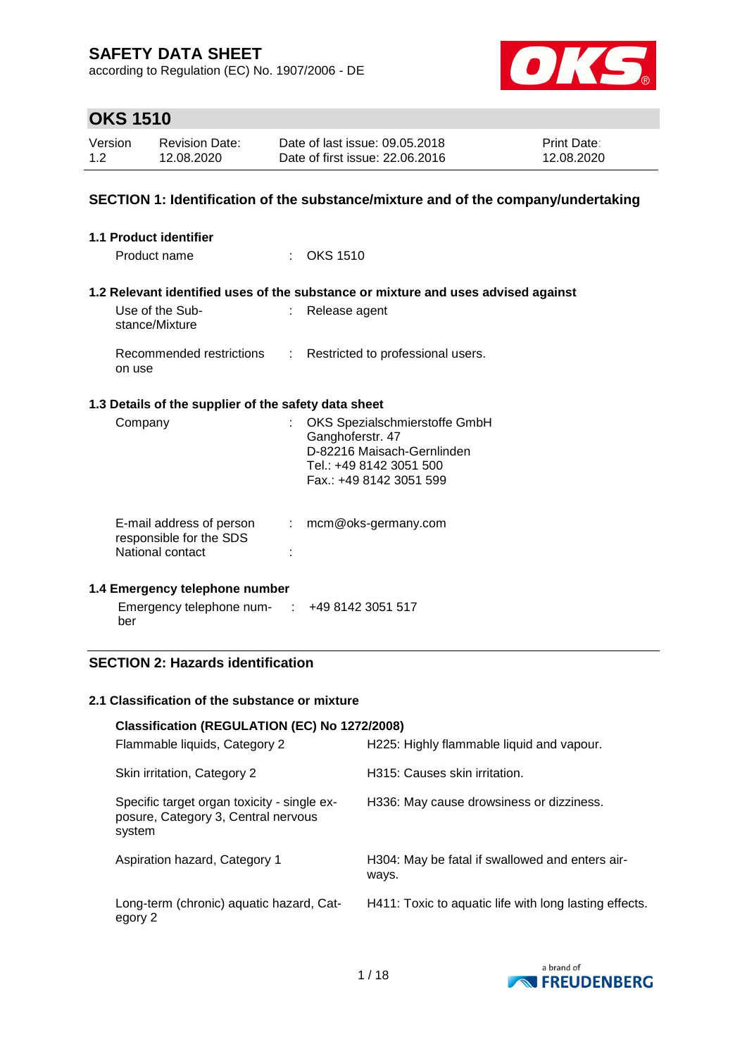according to Regulation (EC) No. 1907/2006 - DE



## **OKS 1510**

| Version | <b>Revision Date:</b> | Date of last issue: 09.05.2018  | <b>Print Date:</b> |
|---------|-----------------------|---------------------------------|--------------------|
| 1.2     | 12.08.2020            | Date of first issue: 22.06.2016 | 12.08.2020         |

### **SECTION 1: Identification of the substance/mixture and of the company/undertaking**

| 1.1 Product identifier<br>Product name               |    | $\therefore$ OKS 1510                                                                                                                 |
|------------------------------------------------------|----|---------------------------------------------------------------------------------------------------------------------------------------|
| Use of the Sub-<br>stance/Mixture                    |    | 1.2 Relevant identified uses of the substance or mixture and uses advised against<br>Release agent                                    |
| Recommended restrictions<br>on use                   | t. | Restricted to professional users.                                                                                                     |
| 1.3 Details of the supplier of the safety data sheet |    |                                                                                                                                       |
| Company                                              |    | OKS Spezialschmierstoffe GmbH<br>Ganghoferstr. 47<br>D-82216 Maisach-Gernlinden<br>Tel.: +49 8142 3051 500<br>Fax.: +49 8142 3051 599 |
| E-mail address of person                             | ÷. | mcm@oks-germany.com                                                                                                                   |
| responsible for the SDS<br>National contact          |    |                                                                                                                                       |

### **1.4 Emergency telephone number**

Emergency telephone num-: +49 8142 3051 517 ber

### **SECTION 2: Hazards identification**

### **2.1 Classification of the substance or mixture**

| Classification (REGULATION (EC) No 1272/2008)<br>Flammable liquids, Category 2               | H225: Highly flammable liquid and vapour.                |
|----------------------------------------------------------------------------------------------|----------------------------------------------------------|
| Skin irritation, Category 2                                                                  | H315: Causes skin irritation.                            |
| Specific target organ toxicity - single ex-<br>posure, Category 3, Central nervous<br>system | H336: May cause drowsiness or dizziness.                 |
| Aspiration hazard, Category 1                                                                | H304: May be fatal if swallowed and enters air-<br>ways. |
| Long-term (chronic) aquatic hazard, Cat-<br>egory 2                                          | H411: Toxic to aquatic life with long lasting effects.   |

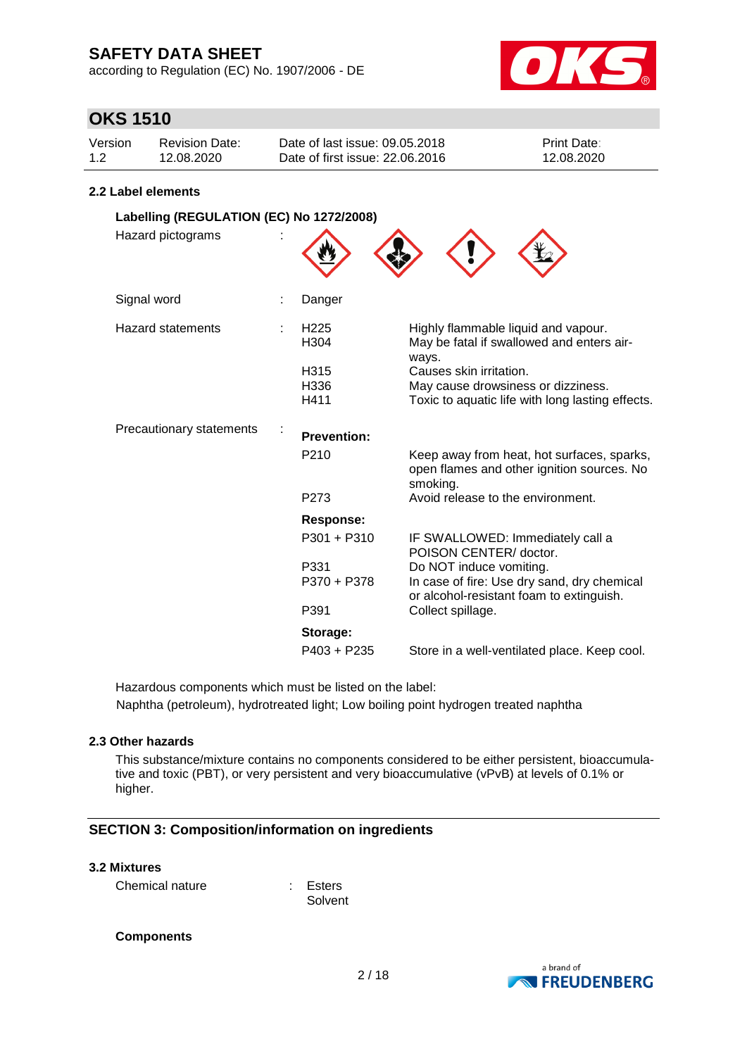according to Regulation (EC) No. 1907/2006 - DE



## **OKS 1510**

| Version | Revision Date: | Date of last issue: 09.05.2018  | <b>Print Date:</b> |
|---------|----------------|---------------------------------|--------------------|
| 1.2     | 12.08.2020     | Date of first issue: 22.06.2016 | 12.08.2020         |

### **2.2 Label elements**

| Labelling (REGULATION (EC) No 1272/2008) |  |                                  |                                                                                                                      |
|------------------------------------------|--|----------------------------------|----------------------------------------------------------------------------------------------------------------------|
| Hazard pictograms                        |  |                                  |                                                                                                                      |
| Signal word                              |  | Danger                           |                                                                                                                      |
| <b>Hazard statements</b>                 |  | H <sub>225</sub><br>H304<br>H315 | Highly flammable liquid and vapour.<br>May be fatal if swallowed and enters air-<br>ways.<br>Causes skin irritation. |
|                                          |  | H336<br>H411                     | May cause drowsiness or dizziness.<br>Toxic to aquatic life with long lasting effects.                               |
| Precautionary statements                 |  | <b>Prevention:</b>               |                                                                                                                      |
|                                          |  | P <sub>210</sub>                 | Keep away from heat, hot surfaces, sparks,<br>open flames and other ignition sources. No<br>smoking.                 |
|                                          |  | P273                             | Avoid release to the environment.                                                                                    |
|                                          |  | Response:                        |                                                                                                                      |
|                                          |  | P301 + P310                      | IF SWALLOWED: Immediately call a<br>POISON CENTER/ doctor.                                                           |
|                                          |  | P331<br>P370 + P378              | Do NOT induce vomiting.<br>In case of fire: Use dry sand, dry chemical<br>or alcohol-resistant foam to extinguish.   |
|                                          |  | P391                             | Collect spillage.                                                                                                    |
|                                          |  | Storage:                         |                                                                                                                      |
|                                          |  | P403 + P235                      | Store in a well-ventilated place. Keep cool.                                                                         |

Hazardous components which must be listed on the label: Naphtha (petroleum), hydrotreated light; Low boiling point hydrogen treated naphtha

### **2.3 Other hazards**

This substance/mixture contains no components considered to be either persistent, bioaccumulative and toxic (PBT), or very persistent and very bioaccumulative (vPvB) at levels of 0.1% or higher.

### **SECTION 3: Composition/information on ingredients**

### **3.2 Mixtures**

Chemical nature : Esters

Solvent

### **Components**

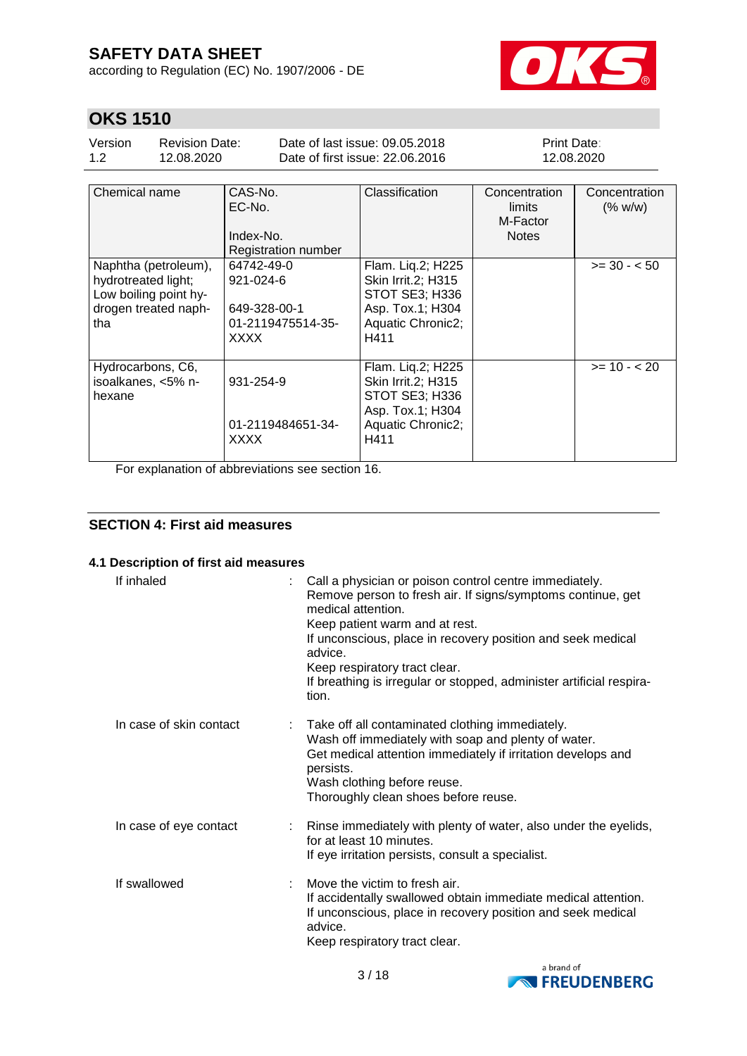according to Regulation (EC) No. 1907/2006 - DE



## **OKS 1510**

| Version | Revision Date: | Date of last issue: 09.05.2018  | <b>Print Date:</b> |
|---------|----------------|---------------------------------|--------------------|
| 1.2     | 12.08.2020     | Date of first issue: 22,06,2016 | 12.08.2020         |

| Chemical name                                                                                       | CAS-No.<br>EC-No.<br>Index-No.<br><b>Registration number</b>                | Classification                                                                                             | Concentration<br>limits<br>M-Factor<br><b>Notes</b> | Concentration<br>(% w/w) |
|-----------------------------------------------------------------------------------------------------|-----------------------------------------------------------------------------|------------------------------------------------------------------------------------------------------------|-----------------------------------------------------|--------------------------|
| Naphtha (petroleum),<br>hydrotreated light;<br>Low boiling point hy-<br>drogen treated naph-<br>tha | 64742-49-0<br>921-024-6<br>649-328-00-1<br>01-2119475514-35-<br><b>XXXX</b> | Flam. Liq.2; H225<br>Skin Irrit.2; H315<br>STOT SE3; H336<br>Asp. Tox.1; H304<br>Aquatic Chronic2;<br>H411 |                                                     | $>= 30 - 50$             |
| Hydrocarbons, C6,<br>isoalkanes, <5% n-<br>hexane                                                   | 931-254-9<br>01-2119484651-34-<br><b>XXXX</b>                               | Flam. Liq.2; H225<br>Skin Irrit.2; H315<br>STOT SE3; H336<br>Asp. Tox.1; H304<br>Aquatic Chronic2;<br>H411 |                                                     | $>= 10 - 20$             |

For explanation of abbreviations see section 16.

### **SECTION 4: First aid measures**

### **4.1 Description of first aid measures**

| If inhaled              | Call a physician or poison control centre immediately.<br>Remove person to fresh air. If signs/symptoms continue, get<br>medical attention.<br>Keep patient warm and at rest.<br>If unconscious, place in recovery position and seek medical<br>advice.<br>Keep respiratory tract clear.<br>If breathing is irregular or stopped, administer artificial respira-<br>tion. |
|-------------------------|---------------------------------------------------------------------------------------------------------------------------------------------------------------------------------------------------------------------------------------------------------------------------------------------------------------------------------------------------------------------------|
| In case of skin contact | Take off all contaminated clothing immediately.<br>Wash off immediately with soap and plenty of water.<br>Get medical attention immediately if irritation develops and<br>persists.<br>Wash clothing before reuse.<br>Thoroughly clean shoes before reuse.                                                                                                                |
| In case of eye contact  | Rinse immediately with plenty of water, also under the eyelids,<br>for at least 10 minutes.<br>If eye irritation persists, consult a specialist.                                                                                                                                                                                                                          |
| If swallowed            | Move the victim to fresh air.<br>If accidentally swallowed obtain immediate medical attention.<br>If unconscious, place in recovery position and seek medical<br>advice.<br>Keep respiratory tract clear.                                                                                                                                                                 |

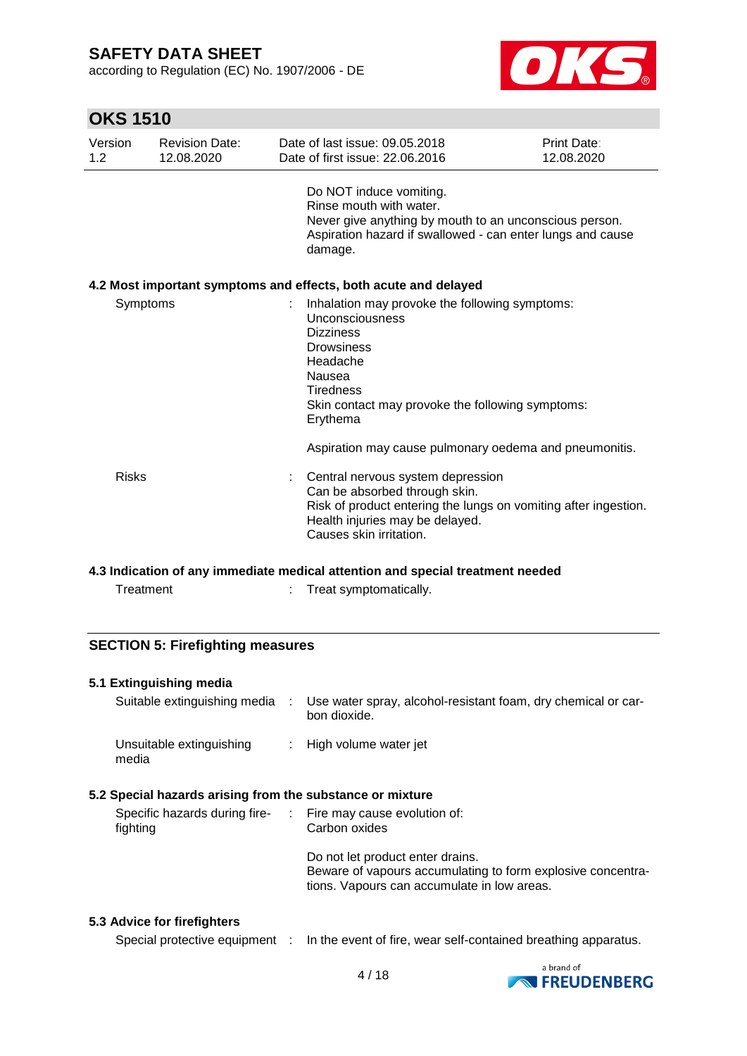according to Regulation (EC) No. 1907/2006 - DE



## **OKS 1510**

| Version<br>1.2 <sub>2</sub> | <b>Revision Date:</b><br>12.08.2020 | Date of last issue: 09.05.2018<br>Date of first issue: 22.06.2016                                                                                                                                                    | Print Date:<br>12.08.2020 |
|-----------------------------|-------------------------------------|----------------------------------------------------------------------------------------------------------------------------------------------------------------------------------------------------------------------|---------------------------|
|                             |                                     | Do NOT induce vomiting.<br>Rinse mouth with water.<br>Never give anything by mouth to an unconscious person.<br>Aspiration hazard if swallowed - can enter lungs and cause<br>damage.                                |                           |
|                             |                                     | 4.2 Most important symptoms and effects, both acute and delayed                                                                                                                                                      |                           |
| Symptoms                    |                                     | Inhalation may provoke the following symptoms:<br>Unconsciousness<br><b>Dizziness</b><br><b>Drowsiness</b><br>Headache<br>Nausea<br><b>Tiredness</b><br>Skin contact may provoke the following symptoms:<br>Erythema |                           |
|                             |                                     | Aspiration may cause pulmonary oedema and pneumonitis.                                                                                                                                                               |                           |
| <b>Risks</b>                |                                     | Central nervous system depression<br>Can be absorbed through skin.<br>Risk of product entering the lungs on vomiting after ingestion.<br>Health injuries may be delayed.<br>Causes skin irritation.                  |                           |

#### **4.3 Indication of any immediate medical attention and special treatment needed**

|  | Treatment | Treat symptomatically. |
|--|-----------|------------------------|
|--|-----------|------------------------|

### **SECTION 5: Firefighting measures**

### **5.1 Extinguishing media**

| Suitable extinguishing media                                   | Use water spray, alcohol-resistant foam, dry chemical or car-<br>bon dioxide. |
|----------------------------------------------------------------|-------------------------------------------------------------------------------|
| Unsuitable extinguishing<br>media                              | : High volume water jet                                                       |
| On a abal bassanda antaban fuano tha acchatan a a an nobelena. |                                                                               |

### **5.2 Special hazards arising from the substance or mixture**

| Specific hazards during fire-<br>fighting | $\therefore$ Fire may cause evolution of:<br>Carbon oxides                                                                                     |
|-------------------------------------------|------------------------------------------------------------------------------------------------------------------------------------------------|
|                                           | Do not let product enter drains.<br>Beware of vapours accumulating to form explosive concentra-<br>tions. Vapours can accumulate in low areas. |

### **5.3 Advice for firefighters**

Special protective equipment : In the event of fire, wear self-contained breathing apparatus.

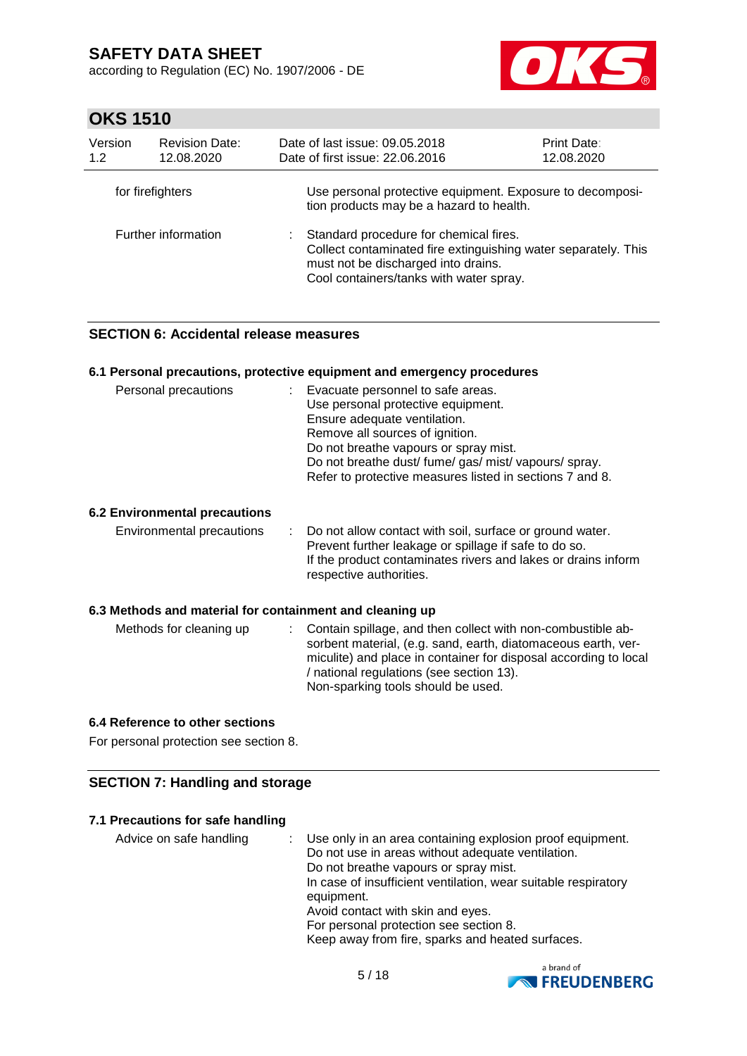according to Regulation (EC) No. 1907/2006 - DE



## **OKS 1510**

| Version<br>1.2      | <b>Revision Date:</b><br>12.08.2020 | Date of last issue: 09.05.2018<br><b>Print Date:</b><br>Date of first issue: 22.06.2016<br>12.08.2020                    |                                                                |  |  |
|---------------------|-------------------------------------|--------------------------------------------------------------------------------------------------------------------------|----------------------------------------------------------------|--|--|
|                     | for firefighters                    | tion products may be a hazard to health.                                                                                 | Use personal protective equipment. Exposure to decomposi-      |  |  |
| Further information |                                     | Standard procedure for chemical fires.<br>must not be discharged into drains.<br>Cool containers/tanks with water spray. | Collect contaminated fire extinguishing water separately. This |  |  |

### **SECTION 6: Accidental release measures**

|                                                          |               | 6.1 Personal precautions, protective equipment and emergency procedures                                                                                                                                                                                                                                    |
|----------------------------------------------------------|---------------|------------------------------------------------------------------------------------------------------------------------------------------------------------------------------------------------------------------------------------------------------------------------------------------------------------|
| Personal precautions                                     |               | : Evacuate personnel to safe areas.<br>Use personal protective equipment.<br>Ensure adequate ventilation.<br>Remove all sources of ignition.<br>Do not breathe vapours or spray mist.<br>Do not breathe dust/ fume/ gas/ mist/ vapours/ spray.<br>Refer to protective measures listed in sections 7 and 8. |
| 6.2 Environmental precautions                            |               |                                                                                                                                                                                                                                                                                                            |
| Environmental precautions                                | $\mathcal{L}$ | Do not allow contact with soil, surface or ground water.<br>Prevent further leakage or spillage if safe to do so.<br>If the product contaminates rivers and lakes or drains inform<br>respective authorities.                                                                                              |
| 6.3 Methods and material for containment and cleaning up |               |                                                                                                                                                                                                                                                                                                            |
| Methods for cleaning up                                  |               | : Contain spillage, and then collect with non-combustible ab-<br>sorbent material, (e.g. sand, earth, diatomaceous earth, ver-<br>miculite) and place in container for disposal according to local<br>/ national regulations (see section 13).<br>Non-sparking tools should be used.                       |

### **6.4 Reference to other sections**

For personal protection see section 8.

### **SECTION 7: Handling and storage**

### **7.1 Precautions for safe handling**

| Advice on safe handling | Use only in an area containing explosion proof equipment.<br>Do not use in areas without adequate ventilation. |
|-------------------------|----------------------------------------------------------------------------------------------------------------|
|                         | Do not breathe vapours or spray mist.                                                                          |
|                         | In case of insufficient ventilation, wear suitable respiratory                                                 |
|                         | equipment.                                                                                                     |
|                         | Avoid contact with skin and eyes.                                                                              |
|                         | For personal protection see section 8.                                                                         |
|                         | Keep away from fire, sparks and heated surfaces.                                                               |

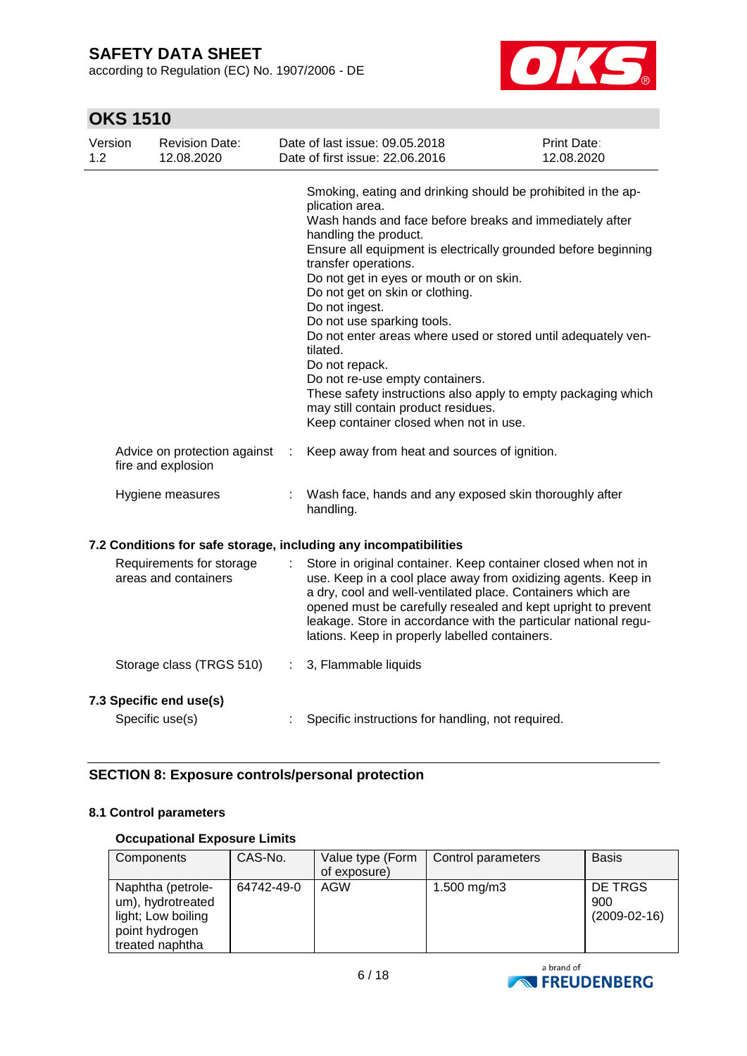according to Regulation (EC) No. 1907/2006 - DE



## **OKS 1510**

| Version<br>1.2 | <b>Revision Date:</b><br>12.08.2020                |    | Date of last issue: 09.05.2018<br>Date of first issue: 22.06.2016                                                                                                                                                                                                                                                                                                                                                                                                                                                                                                                                                                                                               | <b>Print Date:</b><br>12.08.2020 |  |  |  |
|----------------|----------------------------------------------------|----|---------------------------------------------------------------------------------------------------------------------------------------------------------------------------------------------------------------------------------------------------------------------------------------------------------------------------------------------------------------------------------------------------------------------------------------------------------------------------------------------------------------------------------------------------------------------------------------------------------------------------------------------------------------------------------|----------------------------------|--|--|--|
|                |                                                    |    | Smoking, eating and drinking should be prohibited in the ap-<br>plication area.<br>Wash hands and face before breaks and immediately after<br>handling the product.<br>Ensure all equipment is electrically grounded before beginning<br>transfer operations.<br>Do not get in eyes or mouth or on skin.<br>Do not get on skin or clothing.<br>Do not ingest.<br>Do not use sparking tools.<br>Do not enter areas where used or stored until adequately ven-<br>tilated.<br>Do not repack.<br>Do not re-use empty containers.<br>These safety instructions also apply to empty packaging which<br>may still contain product residues.<br>Keep container closed when not in use. |                                  |  |  |  |
|                | Advice on protection against<br>fire and explosion |    | Keep away from heat and sources of ignition.                                                                                                                                                                                                                                                                                                                                                                                                                                                                                                                                                                                                                                    |                                  |  |  |  |
|                | Hygiene measures                                   |    | Wash face, hands and any exposed skin thoroughly after<br>handling.                                                                                                                                                                                                                                                                                                                                                                                                                                                                                                                                                                                                             |                                  |  |  |  |
|                |                                                    |    | 7.2 Conditions for safe storage, including any incompatibilities                                                                                                                                                                                                                                                                                                                                                                                                                                                                                                                                                                                                                |                                  |  |  |  |
|                | Requirements for storage<br>areas and containers   | t. | Store in original container. Keep container closed when not in<br>use. Keep in a cool place away from oxidizing agents. Keep in<br>a dry, cool and well-ventilated place. Containers which are<br>opened must be carefully resealed and kept upright to prevent<br>leakage. Store in accordance with the particular national regu-<br>lations. Keep in properly labelled containers.                                                                                                                                                                                                                                                                                            |                                  |  |  |  |
|                | Storage class (TRGS 510)                           | ÷. | 3, Flammable liquids                                                                                                                                                                                                                                                                                                                                                                                                                                                                                                                                                                                                                                                            |                                  |  |  |  |
|                | 7.3 Specific end use(s)                            |    |                                                                                                                                                                                                                                                                                                                                                                                                                                                                                                                                                                                                                                                                                 |                                  |  |  |  |

Specific use(s) : Specific instructions for handling, not required.

### **SECTION 8: Exposure controls/personal protection**

### **8.1 Control parameters**

### **Occupational Exposure Limits**

| Components                                                                                        | CAS-No.    | Value type (Form<br>of exposure) | Control parameters | <b>Basis</b>                     |
|---------------------------------------------------------------------------------------------------|------------|----------------------------------|--------------------|----------------------------------|
| Naphtha (petrole-<br>um), hydrotreated<br>light; Low boiling<br>point hydrogen<br>treated naphtha | 64742-49-0 | AGW                              | 1.500 mg/m3        | DE TRGS<br>900<br>$(2009-02-16)$ |

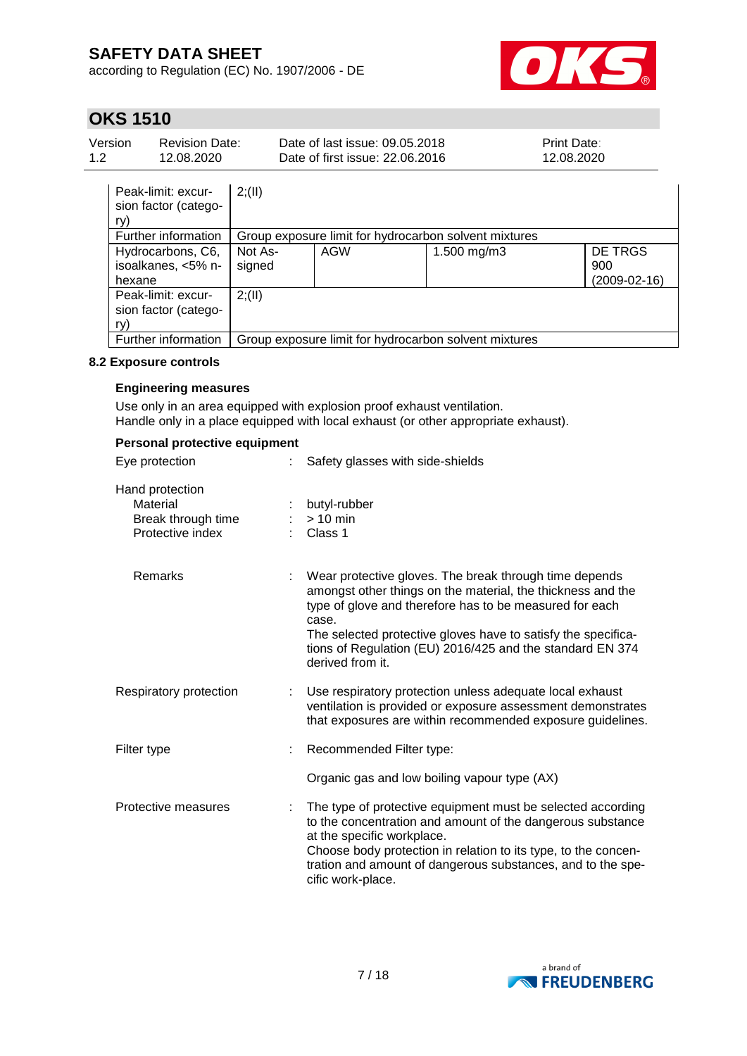according to Regulation (EC) No. 1907/2006 - DE



## **OKS 1510**

| Version<br><b>Revision Date:</b><br>1.2<br>12.08.2020 |                                                   | Date of last issue: 09.05.2018<br>Date of first issue: 22.06.2016 | Print Date:<br>12.08.2020                             |            |             |                                         |  |  |
|-------------------------------------------------------|---------------------------------------------------|-------------------------------------------------------------------|-------------------------------------------------------|------------|-------------|-----------------------------------------|--|--|
|                                                       | ry)                                               | Peak-limit: excur-<br>sion factor (catego-                        | 2; (II)                                               |            |             |                                         |  |  |
|                                                       | Further information                               |                                                                   | Group exposure limit for hydrocarbon solvent mixtures |            |             |                                         |  |  |
|                                                       | hexane                                            | Hydrocarbons, C6,<br>isoalkanes, <5% n-                           | Not As-<br>signed                                     | <b>AGW</b> | 1.500 mg/m3 | <b>DE TRGS</b><br>900<br>$(2009-02-16)$ |  |  |
|                                                       | Peak-limit: excur-<br>sion factor (catego-<br>ry) |                                                                   | 2; (II)                                               |            |             |                                         |  |  |
|                                                       |                                                   | Further information                                               | Group exposure limit for hydrocarbon solvent mixtures |            |             |                                         |  |  |

### **8.2 Exposure controls**

### **Engineering measures**

Use only in an area equipped with explosion proof exhaust ventilation. Handle only in a place equipped with local exhaust (or other appropriate exhaust).

### **Personal protective equipment**

| Eye protection                                                        | Safety glasses with side-shields                                                                                                                                                                                                                                                                                                            |
|-----------------------------------------------------------------------|---------------------------------------------------------------------------------------------------------------------------------------------------------------------------------------------------------------------------------------------------------------------------------------------------------------------------------------------|
| Hand protection<br>Material<br>Break through time<br>Protective index | butyl-rubber<br>$> 10$ min<br>Class 1                                                                                                                                                                                                                                                                                                       |
| Remarks                                                               | Wear protective gloves. The break through time depends<br>amongst other things on the material, the thickness and the<br>type of glove and therefore has to be measured for each<br>case.<br>The selected protective gloves have to satisfy the specifica-<br>tions of Regulation (EU) 2016/425 and the standard EN 374<br>derived from it. |
| Respiratory protection                                                | Use respiratory protection unless adequate local exhaust<br>ventilation is provided or exposure assessment demonstrates<br>that exposures are within recommended exposure guidelines.                                                                                                                                                       |
| Filter type                                                           | Recommended Filter type:                                                                                                                                                                                                                                                                                                                    |
|                                                                       | Organic gas and low boiling vapour type (AX)                                                                                                                                                                                                                                                                                                |
| Protective measures                                                   | The type of protective equipment must be selected according<br>to the concentration and amount of the dangerous substance<br>at the specific workplace.<br>Choose body protection in relation to its type, to the concen-<br>tration and amount of dangerous substances, and to the spe-<br>cific work-place.                               |

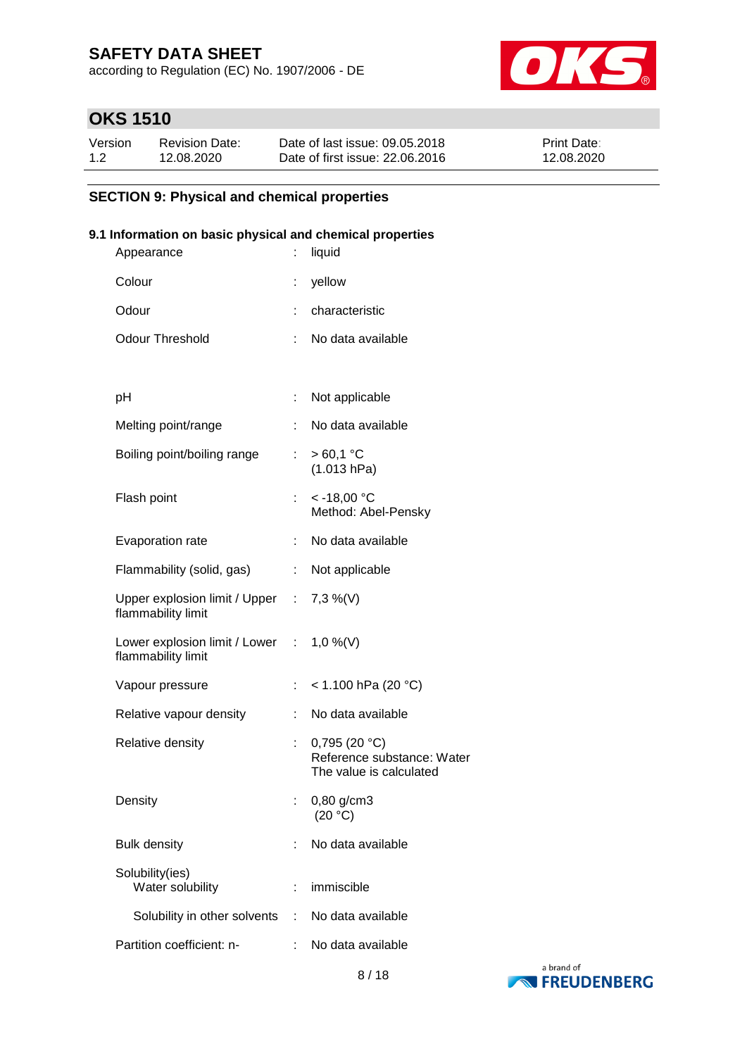according to Regulation (EC) No. 1907/2006 - DE



## **OKS 1510**

| Version | <b>Revision Date:</b> | Date of last issue: 09.05.2018  | <b>Print Date:</b> |
|---------|-----------------------|---------------------------------|--------------------|
| 1.2     | 12.08.2020            | Date of first issue: 22,06,2016 | 12.08.2020         |

### **SECTION 9: Physical and chemical properties**

### **9.1 Information on basic physical and chemical properties**

| Appearance                                                     |                           | liquid                                                                |
|----------------------------------------------------------------|---------------------------|-----------------------------------------------------------------------|
| Colour                                                         | ÷                         | yellow                                                                |
| Odour                                                          |                           | characteristic                                                        |
| <b>Odour Threshold</b>                                         | ÷.                        | No data available                                                     |
|                                                                |                           |                                                                       |
| рH                                                             | t                         | Not applicable                                                        |
| Melting point/range                                            | ÷.                        | No data available                                                     |
| Boiling point/boiling range                                    | t.                        | $>60,1$ °C<br>(1.013 hPa)                                             |
| Flash point                                                    | t.                        | $< -18,00$ °C<br>Method: Abel-Pensky                                  |
| Evaporation rate                                               | ÷.                        | No data available                                                     |
| Flammability (solid, gas)                                      |                           | : Not applicable                                                      |
| Upper explosion limit / Upper : 7,3 %(V)<br>flammability limit |                           |                                                                       |
| Lower explosion limit / Lower : 1,0 %(V)<br>flammability limit |                           |                                                                       |
| Vapour pressure                                                | $\mathbb{R}^{\mathbb{Z}}$ | < 1.100 hPa (20 °C)                                                   |
| Relative vapour density                                        | t.                        | No data available                                                     |
| Relative density                                               |                           | 0,795(20 °C)<br>Reference substance: Water<br>The value is calculated |
| Density                                                        |                           | $0,80$ g/cm3<br>(20 °C)                                               |
| <b>Bulk density</b>                                            |                           | No data available                                                     |
| Solubility(ies)<br>Water solubility                            | t                         | immiscible                                                            |
| Solubility in other solvents                                   |                           | : No data available                                                   |
| Partition coefficient: n-                                      | ÷.                        | No data available                                                     |

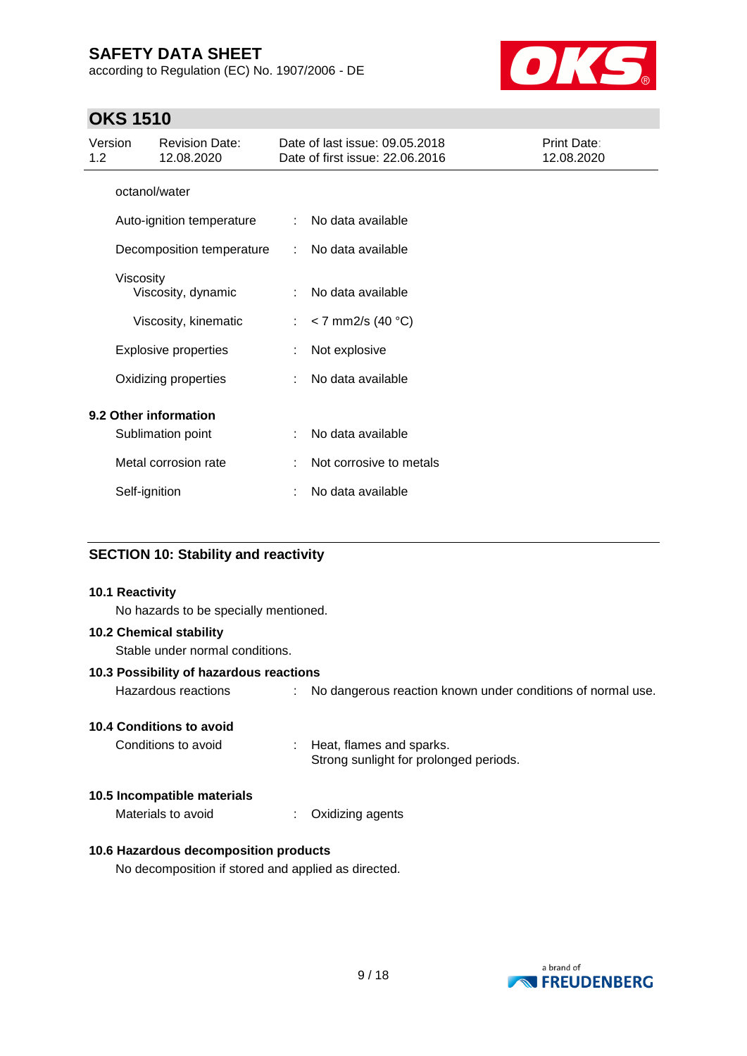according to Regulation (EC) No. 1907/2006 - DE



## **OKS 1510**

| Version<br>1.2        |               | <b>Revision Date:</b><br>12.08.2020 |                            | Date of last issue: 09.05.2018<br>Date of first issue: 22.06.2016 | Print Date:<br>12.08.2020 |
|-----------------------|---------------|-------------------------------------|----------------------------|-------------------------------------------------------------------|---------------------------|
|                       | octanol/water |                                     |                            |                                                                   |                           |
|                       |               | Auto-ignition temperature           | $\mathcal{L}$              | No data available                                                 |                           |
|                       |               | Decomposition temperature           | $\mathcal{L}^{\text{max}}$ | No data available                                                 |                           |
|                       | Viscosity     | Viscosity, dynamic                  | ÷                          | No data available                                                 |                           |
|                       |               | Viscosity, kinematic                | $\mathbb{R}^{\mathbb{Z}}$  | $<$ 7 mm2/s (40 °C)                                               |                           |
|                       |               | <b>Explosive properties</b>         |                            | Not explosive                                                     |                           |
|                       |               | Oxidizing properties                |                            | No data available                                                 |                           |
| 9.2 Other information |               |                                     |                            |                                                                   |                           |
|                       |               | Sublimation point                   | ÷                          | No data available                                                 |                           |
|                       |               | Metal corrosion rate                |                            | Not corrosive to metals                                           |                           |
|                       | Self-ignition |                                     |                            | No data available                                                 |                           |

### **SECTION 10: Stability and reactivity**

### **10.1 Reactivity**

No hazards to be specially mentioned.

### **10.2 Chemical stability**

Stable under normal conditions.

### **10.3 Possibility of hazardous reactions**

| No dangerous reaction known under conditions of normal use.<br>Hazardous reactions |
|------------------------------------------------------------------------------------|
|------------------------------------------------------------------------------------|

### **10.4 Conditions to avoid**

Conditions to avoid : Heat, flames and sparks. Strong sunlight for prolonged periods.

#### **10.5 Incompatible materials**

Materials to avoid : Oxidizing agents

### **10.6 Hazardous decomposition products**

No decomposition if stored and applied as directed.

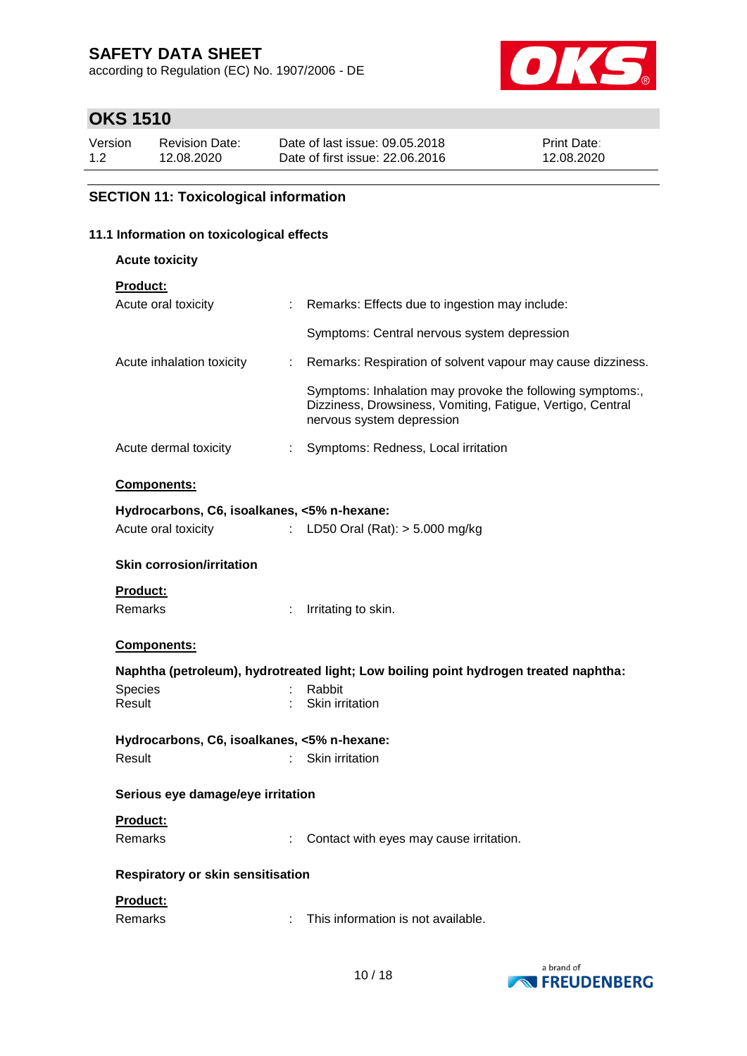according to Regulation (EC) No. 1907/2006 - DE



## **OKS 1510**

| Version | <b>Revision Date:</b> | Date of last issue: 09.05.2018  | <b>Print Date:</b> |
|---------|-----------------------|---------------------------------|--------------------|
| 1.2     | 12.08.2020            | Date of first issue: 22,06,2016 | 12.08.2020         |

### **SECTION 11: Toxicological information**

### **11.1 Information on toxicological effects**

**Acute toxicity**

| <b>Product:</b> |  |
|-----------------|--|
|                 |  |

| Acute oral toxicity                         |                                                                                                                                                                                                                                                                                                                                                                                                                               | Remarks: Effects due to ingestion may include:                                                                                                       |  |  |
|---------------------------------------------|-------------------------------------------------------------------------------------------------------------------------------------------------------------------------------------------------------------------------------------------------------------------------------------------------------------------------------------------------------------------------------------------------------------------------------|------------------------------------------------------------------------------------------------------------------------------------------------------|--|--|
|                                             |                                                                                                                                                                                                                                                                                                                                                                                                                               | Symptoms: Central nervous system depression                                                                                                          |  |  |
| Acute inhalation toxicity                   | t.                                                                                                                                                                                                                                                                                                                                                                                                                            | Remarks: Respiration of solvent vapour may cause dizziness.                                                                                          |  |  |
|                                             |                                                                                                                                                                                                                                                                                                                                                                                                                               | Symptoms: Inhalation may provoke the following symptoms:,<br>Dizziness, Drowsiness, Vomiting, Fatigue, Vertigo, Central<br>nervous system depression |  |  |
| Acute dermal toxicity                       | ÷.                                                                                                                                                                                                                                                                                                                                                                                                                            | Symptoms: Redness, Local irritation                                                                                                                  |  |  |
| Components:                                 |                                                                                                                                                                                                                                                                                                                                                                                                                               |                                                                                                                                                      |  |  |
| Hydrocarbons, C6, isoalkanes, <5% n-hexane: |                                                                                                                                                                                                                                                                                                                                                                                                                               |                                                                                                                                                      |  |  |
| Acute oral toxicity                         | $\mathcal{I}^{\mathcal{I}^{\mathcal{I}^{\mathcal{I}^{\mathcal{I}^{\mathcal{I}^{\mathcal{I}^{\mathcal{I}^{\mathcal{I}^{\mathcal{I}^{\mathcal{I}^{\mathcal{I}^{\mathcal{I}^{\mathcal{I}^{\mathcal{I}^{\mathcal{I}^{\mathcal{I}^{\mathcal{I}^{\mathcal{I}^{\mathcal{I}^{\mathcal{I}^{\mathcal{I}^{\mathcal{I}^{\mathcal{I}^{\mathcal{I}^{\mathcal{I}^{\mathcal{I}^{\mathcal{I}^{\mathcal{I}^{\mathcal{I}^{\mathcal{I}^{\mathcal$ | LD50 Oral $(Rat):$ > 5.000 mg/kg                                                                                                                     |  |  |
| <b>Skin corrosion/irritation</b>            |                                                                                                                                                                                                                                                                                                                                                                                                                               |                                                                                                                                                      |  |  |
| Product:                                    |                                                                                                                                                                                                                                                                                                                                                                                                                               |                                                                                                                                                      |  |  |
| Remarks                                     |                                                                                                                                                                                                                                                                                                                                                                                                                               | Irritating to skin.                                                                                                                                  |  |  |
| <b>Components:</b>                          |                                                                                                                                                                                                                                                                                                                                                                                                                               |                                                                                                                                                      |  |  |
|                                             |                                                                                                                                                                                                                                                                                                                                                                                                                               | Naphtha (petroleum), hydrotreated light; Low boiling point hydrogen treated naphtha:                                                                 |  |  |
| Species                                     |                                                                                                                                                                                                                                                                                                                                                                                                                               | Rabbit                                                                                                                                               |  |  |
| Result                                      |                                                                                                                                                                                                                                                                                                                                                                                                                               | Skin irritation                                                                                                                                      |  |  |
| Hydrocarbons, C6, isoalkanes, <5% n-hexane: |                                                                                                                                                                                                                                                                                                                                                                                                                               |                                                                                                                                                      |  |  |
| Result                                      |                                                                                                                                                                                                                                                                                                                                                                                                                               | Skin irritation                                                                                                                                      |  |  |
| Serious eye damage/eye irritation           |                                                                                                                                                                                                                                                                                                                                                                                                                               |                                                                                                                                                      |  |  |
| Product:                                    |                                                                                                                                                                                                                                                                                                                                                                                                                               |                                                                                                                                                      |  |  |
| <b>Remarks</b>                              |                                                                                                                                                                                                                                                                                                                                                                                                                               | Contact with eyes may cause irritation.                                                                                                              |  |  |
| Respiratory or skin sensitisation           |                                                                                                                                                                                                                                                                                                                                                                                                                               |                                                                                                                                                      |  |  |
| Product:                                    |                                                                                                                                                                                                                                                                                                                                                                                                                               |                                                                                                                                                      |  |  |
| Remarks                                     |                                                                                                                                                                                                                                                                                                                                                                                                                               | This information is not available.                                                                                                                   |  |  |

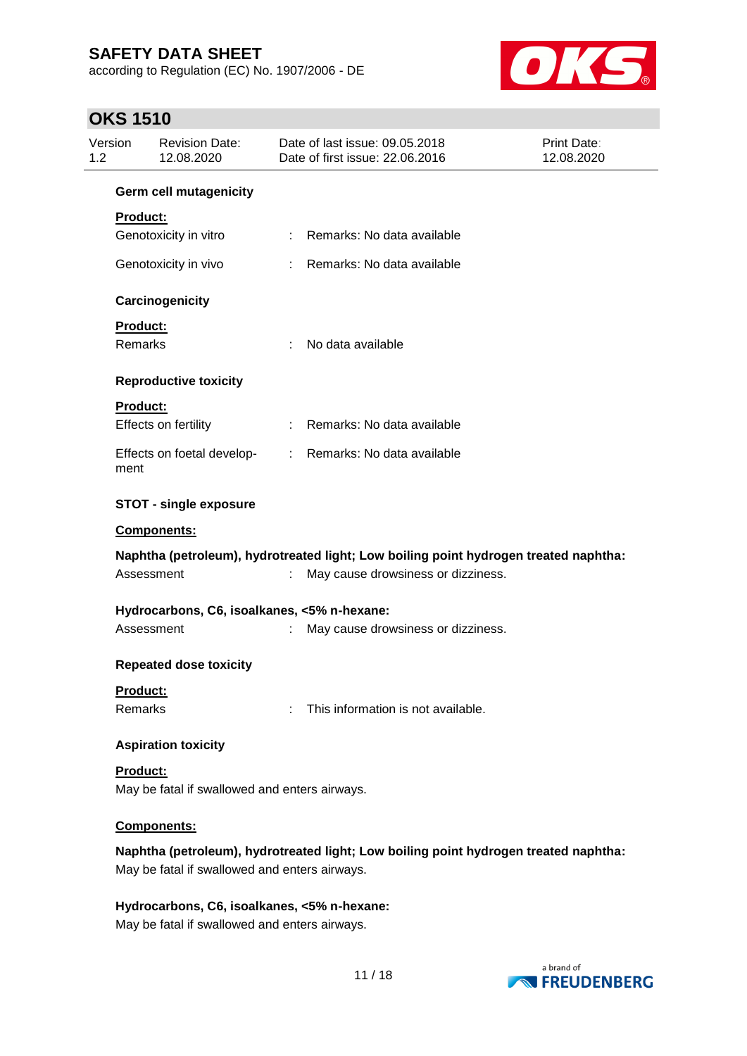according to Regulation (EC) No. 1907/2006 - DE



## **OKS 1510**

| Version<br>1.2  | <b>Revision Date:</b><br>12.08.2020           |    | Date of last issue: 09.05.2018<br>Date of first issue: 22.06.2016                    | Print Date:<br>12.08.2020 |
|-----------------|-----------------------------------------------|----|--------------------------------------------------------------------------------------|---------------------------|
|                 | Germ cell mutagenicity                        |    |                                                                                      |                           |
| <b>Product:</b> |                                               |    |                                                                                      |                           |
|                 | Genotoxicity in vitro                         |    | : Remarks: No data available                                                         |                           |
|                 | Genotoxicity in vivo                          |    | Remarks: No data available                                                           |                           |
|                 | Carcinogenicity                               |    |                                                                                      |                           |
| Product:        |                                               |    |                                                                                      |                           |
| <b>Remarks</b>  |                                               |    | No data available                                                                    |                           |
|                 | <b>Reproductive toxicity</b>                  |    |                                                                                      |                           |
| <b>Product:</b> |                                               |    |                                                                                      |                           |
|                 | Effects on fertility                          |    | Remarks: No data available                                                           |                           |
| ment            | Effects on foetal develop-                    |    | : Remarks: No data available                                                         |                           |
|                 | <b>STOT - single exposure</b>                 |    |                                                                                      |                           |
|                 | Components:                                   |    |                                                                                      |                           |
|                 |                                               |    | Naphtha (petroleum), hydrotreated light; Low boiling point hydrogen treated naphtha: |                           |
|                 | Assessment                                    | ÷. | May cause drowsiness or dizziness.                                                   |                           |
|                 | Hydrocarbons, C6, isoalkanes, <5% n-hexane:   |    |                                                                                      |                           |
|                 | Assessment                                    | ÷  | May cause drowsiness or dizziness.                                                   |                           |
|                 | <b>Repeated dose toxicity</b>                 |    |                                                                                      |                           |
| Product:        |                                               |    |                                                                                      |                           |
| Remarks         |                                               | ÷  | This information is not available.                                                   |                           |
|                 | <b>Aspiration toxicity</b>                    |    |                                                                                      |                           |
| Product:        |                                               |    |                                                                                      |                           |
|                 | May be fatal if swallowed and enters airways. |    |                                                                                      |                           |
|                 | Components:                                   |    |                                                                                      |                           |
|                 | May be fatal if swallowed and enters airways. |    | Naphtha (petroleum), hydrotreated light; Low boiling point hydrogen treated naphtha: |                           |
|                 | Hydrocarbons, C6, isoalkanes, <5% n-hexane:   |    |                                                                                      |                           |

May be fatal if swallowed and enters airways.

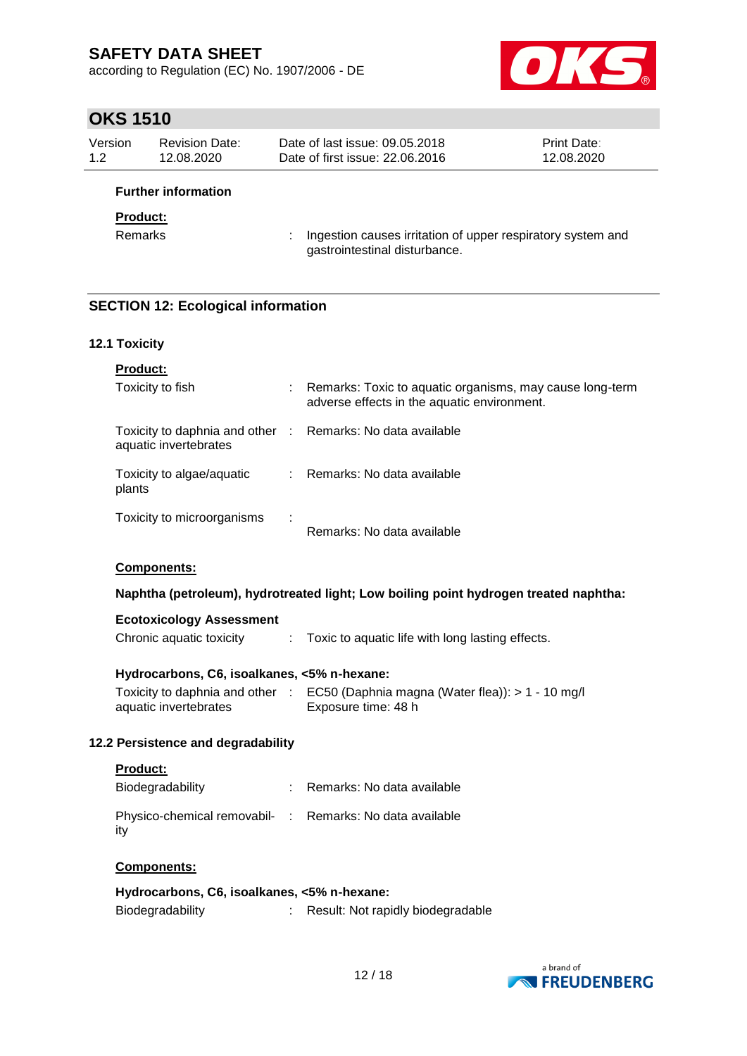according to Regulation (EC) No. 1907/2006 - DE



## **OKS 1510**

| Version | <b>Revision Date:</b> | Date of last issue: 09.05.2018  | <b>Print Date:</b> |
|---------|-----------------------|---------------------------------|--------------------|
| 1.2     | 12.08.2020            | Date of first issue: 22.06.2016 | 12.08.2020         |
|         |                       |                                 |                    |

### **Further information**

### **Product:**

Remarks : Ingestion causes irritation of upper respiratory system and gastrointestinal disturbance.

### **SECTION 12: Ecological information**

### **12.1 Toxicity**

| <b>Product:</b>                                                                     |   |                                                                                                         |
|-------------------------------------------------------------------------------------|---|---------------------------------------------------------------------------------------------------------|
| Toxicity to fish                                                                    |   | Remarks: Toxic to aquatic organisms, may cause long-term<br>adverse effects in the aquatic environment. |
| Toxicity to daphnia and other : Remarks: No data available<br>aquatic invertebrates |   |                                                                                                         |
| Toxicity to algae/aquatic<br>plants                                                 |   | $\therefore$ Remarks: No data available                                                                 |
| Toxicity to microorganisms                                                          |   | Remarks: No data available                                                                              |
| <b>Components:</b>                                                                  |   |                                                                                                         |
|                                                                                     |   | Naphtha (petroleum), hydrotreated light; Low boiling point hydrogen treated naphtha:                    |
| <b>Ecotoxicology Assessment</b><br>Chronic aquatic toxicity                         | ÷ | Toxic to aquatic life with long lasting effects.                                                        |

### **Hydrocarbons, C6, isoalkanes, <5% n-hexane:**

|                       | Toxicity to daphnia and other : EC50 (Daphnia magna (Water flea)): > 1 - 10 mg/l |
|-----------------------|----------------------------------------------------------------------------------|
| aquatic invertebrates | Exposure time: 48 h                                                              |

### **12.2 Persistence and degradability**

### **Product:**

| Biodegradability                                                | : Remarks: No data available |
|-----------------------------------------------------------------|------------------------------|
| Physico-chemical removabil- : Remarks: No data available<br>itv |                              |

### **Components:**

| Hydrocarbons, C6, isoalkanes, <5% n-hexane: |                                   |
|---------------------------------------------|-----------------------------------|
| Biodegradability                            | Result: Not rapidly biodegradable |

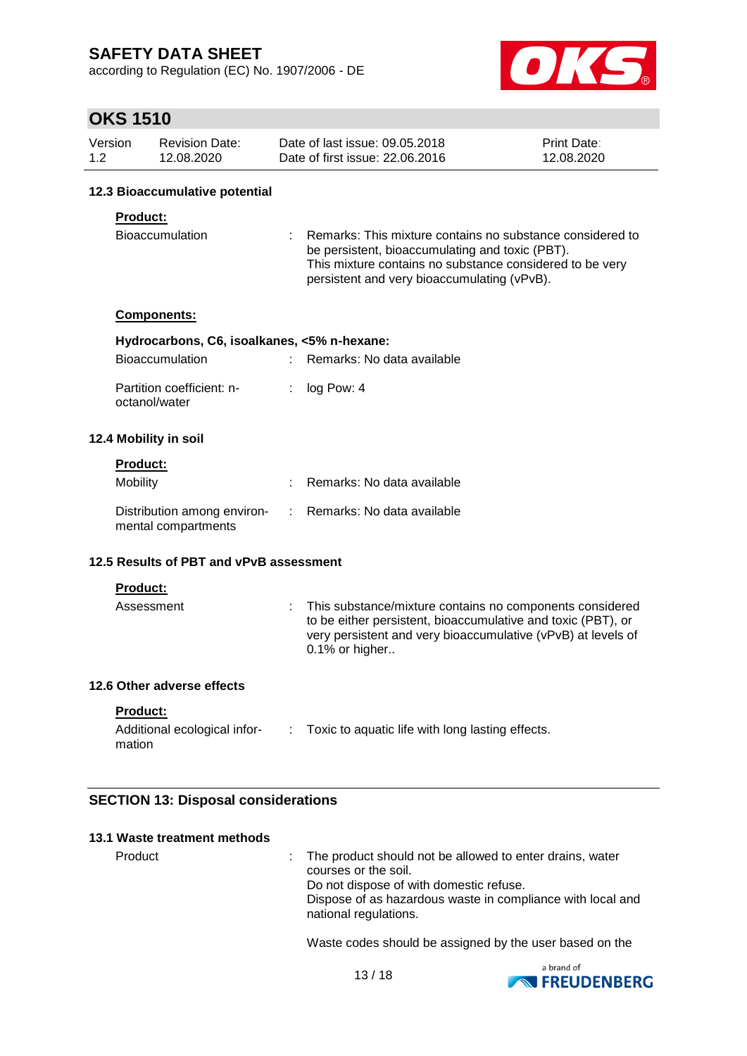according to Regulation (EC) No. 1907/2006 - DE



## **OKS 1510**

| Version | Revision Date: | Date of last issue: 09.05.2018  | <b>Print Date:</b> |
|---------|----------------|---------------------------------|--------------------|
| 1.2     | 12.08.2020     | Date of first issue: 22.06.2016 | 12.08.2020         |

### **12.3 Bioaccumulative potential**

### **Product:**

| Bioaccumulation | : Remarks: This mixture contains no substance considered to |
|-----------------|-------------------------------------------------------------|
|                 | be persistent, bioaccumulating and toxic (PBT).             |
|                 | This mixture contains no substance considered to be very    |
|                 | persistent and very bioaccumulating (vPvB).                 |

### **Components:**

| Hydrocarbons, C6, isoalkanes, <5% n-hexane: |  |                              |  |  |  |
|---------------------------------------------|--|------------------------------|--|--|--|
| <b>Bioaccumulation</b>                      |  | : Remarks: No data available |  |  |  |
| Partition coefficient: n-<br>octanol/water  |  | $:$ log Pow: 4               |  |  |  |

### **12.4 Mobility in soil**

### **Product:**

| <b>Mobility</b>                                    | Remarks: No data available   |
|----------------------------------------------------|------------------------------|
| Distribution among environ-<br>mental compartments | : Remarks: No data available |

### **12.5 Results of PBT and vPvB assessment**

**Product:**

```
Assessment : This substance/mixture contains no components considered
                   to be either persistent, bioaccumulative and toxic (PBT), or 
                   very persistent and very bioaccumulative (vPvB) at levels of 
                   0.1% or higher..
```
### **12.6 Other adverse effects**

**Product:**

| Additional ecological infor- | Toxic to aquatic life with long lasting effects. |
|------------------------------|--------------------------------------------------|
| mation                       |                                                  |

### **SECTION 13: Disposal considerations**

### **13.1 Waste treatment methods**

Product : The product should not be allowed to enter drains, water courses or the soil. Do not dispose of with domestic refuse. Dispose of as hazardous waste in compliance with local and national regulations.

Waste codes should be assigned by the user based on the

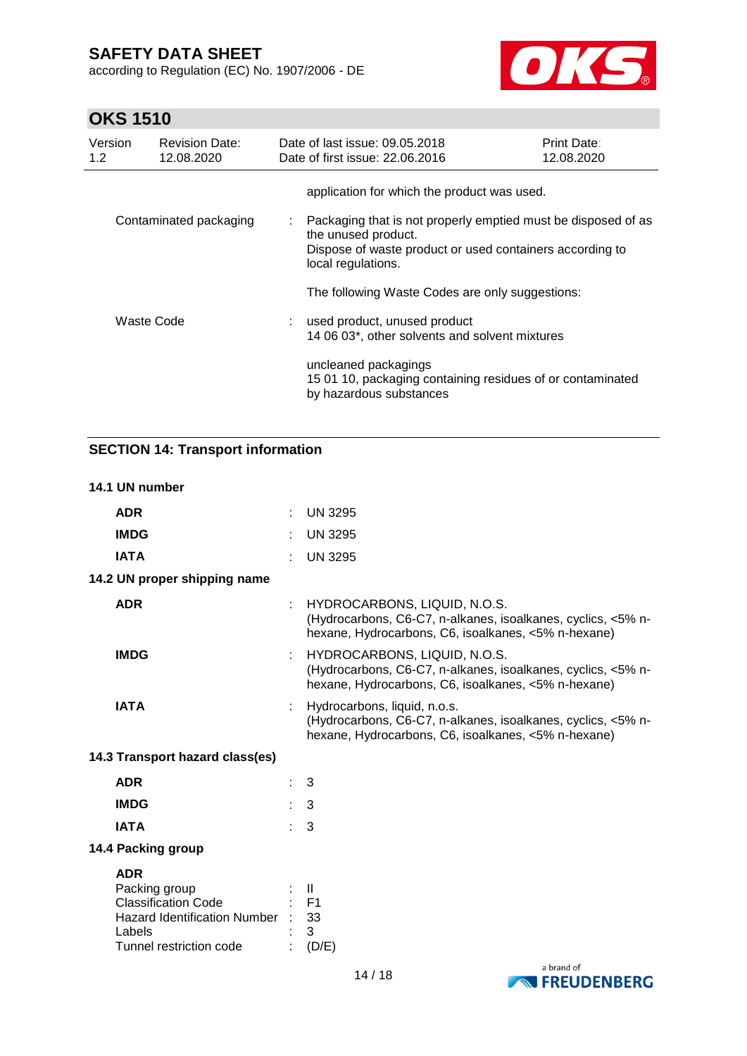according to Regulation (EC) No. 1907/2006 - DE



## **OKS 1510**

| Version<br>1.2 | <b>Revision Date:</b><br>12.08.2020 |                           | Date of last issue: 09.05.2018<br>Date of first issue: 22.06.2016                                                                                                      | <b>Print Date:</b><br>12.08.2020 |
|----------------|-------------------------------------|---------------------------|------------------------------------------------------------------------------------------------------------------------------------------------------------------------|----------------------------------|
|                |                                     |                           | application for which the product was used.                                                                                                                            |                                  |
|                | Contaminated packaging              | $\mathbb{Z}^{\mathbb{Z}}$ | Packaging that is not properly emptied must be disposed of as<br>the unused product.<br>Dispose of waste product or used containers according to<br>local regulations. |                                  |
|                |                                     |                           | The following Waste Codes are only suggestions:                                                                                                                        |                                  |
|                | Waste Code                          |                           | used product, unused product<br>14 06 03*, other solvents and solvent mixtures                                                                                         |                                  |
|                |                                     |                           | uncleaned packagings<br>15 01 10, packaging containing residues of or contaminated<br>by hazardous substances                                                          |                                  |

## **SECTION 14: Transport information**

### **14.1 UN number**

| <b>ADR</b>                                                                                                                          |   | <b>UN 3295</b>                                                                                                                                      |
|-------------------------------------------------------------------------------------------------------------------------------------|---|-----------------------------------------------------------------------------------------------------------------------------------------------------|
| <b>IMDG</b>                                                                                                                         |   | <b>UN 3295</b>                                                                                                                                      |
| <b>IATA</b>                                                                                                                         |   | <b>UN 3295</b>                                                                                                                                      |
| 14.2 UN proper shipping name                                                                                                        |   |                                                                                                                                                     |
| <b>ADR</b>                                                                                                                          |   | HYDROCARBONS, LIQUID, N.O.S.<br>(Hydrocarbons, C6-C7, n-alkanes, isoalkanes, cyclics, <5% n-<br>hexane, Hydrocarbons, C6, isoalkanes, <5% n-hexane) |
| <b>IMDG</b>                                                                                                                         | ÷ | HYDROCARBONS, LIQUID, N.O.S.<br>(Hydrocarbons, C6-C7, n-alkanes, isoalkanes, cyclics, <5% n-<br>hexane, Hydrocarbons, C6, isoalkanes, <5% n-hexane) |
| <b>IATA</b>                                                                                                                         |   | Hydrocarbons, liquid, n.o.s.<br>(Hydrocarbons, C6-C7, n-alkanes, isoalkanes, cyclics, <5% n-<br>hexane, Hydrocarbons, C6, isoalkanes, <5% n-hexane) |
| 14.3 Transport hazard class(es)                                                                                                     |   |                                                                                                                                                     |
| <b>ADR</b>                                                                                                                          |   | 3                                                                                                                                                   |
| <b>IMDG</b>                                                                                                                         |   | 3                                                                                                                                                   |
| <b>IATA</b>                                                                                                                         |   | 3                                                                                                                                                   |
| 14.4 Packing group                                                                                                                  |   |                                                                                                                                                     |
| <b>ADR</b><br>Packing group<br><b>Classification Code</b><br>Hazard Identification Number : 33<br>Labels<br>Tunnel restriction code |   | $\blacksquare$<br>$\therefore$ F1<br>3<br>(D/E)                                                                                                     |

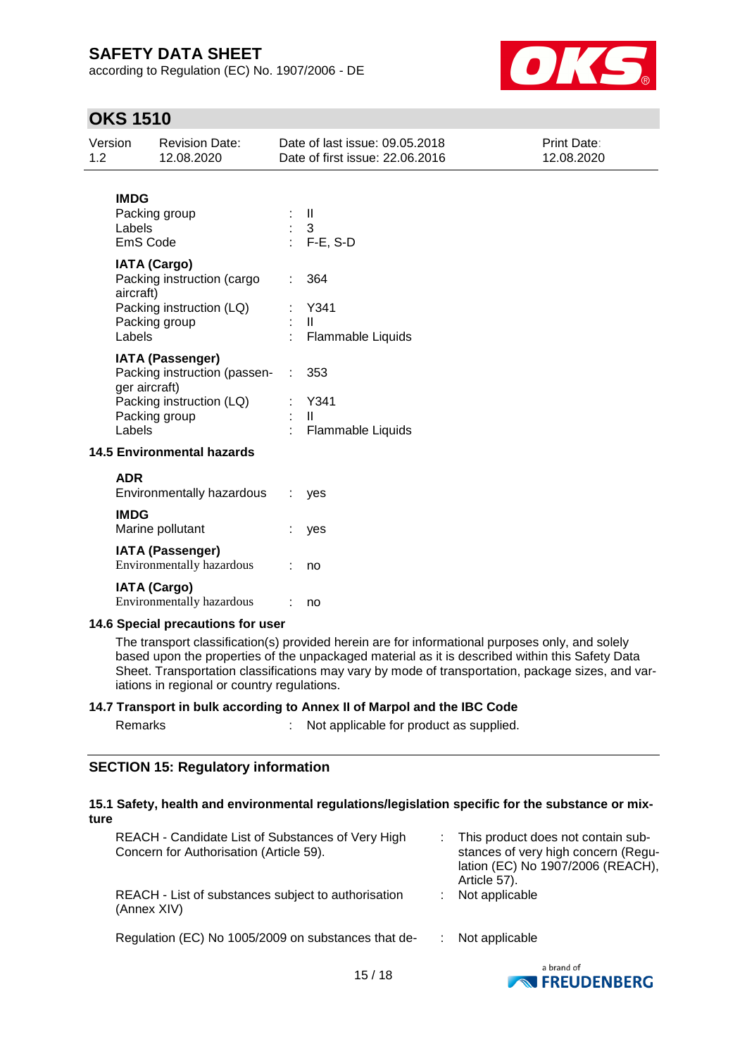according to Regulation (EC) No. 1907/2006 - DE



## **OKS 1510**

| Version<br>1.2            | <b>Revision Date:</b><br>12.08.2020                                                                                   | Date of last issue: 09.05.2018<br>Date of first issue: 22.06.2016                                                                                                                                  | Print Date:<br>12.08.2020                                                                         |
|---------------------------|-----------------------------------------------------------------------------------------------------------------------|----------------------------------------------------------------------------------------------------------------------------------------------------------------------------------------------------|---------------------------------------------------------------------------------------------------|
| <b>IMDG</b><br>Labels     | Packing group<br>EmS Code                                                                                             | $\mathbf{II}$<br>3<br>$F-E$ , S-D                                                                                                                                                                  |                                                                                                   |
| aircraft)<br>Labels       | <b>IATA (Cargo)</b><br>Packing instruction (cargo<br>Packing instruction (LQ)<br>Packing group                        | 364<br>Y341<br>$\mathbf{H}$<br>Flammable Liquids                                                                                                                                                   |                                                                                                   |
| Labels                    | <b>IATA (Passenger)</b><br>Packing instruction (passen-<br>ger aircraft)<br>Packing instruction (LQ)<br>Packing group | 353<br>Y341<br>Ш<br>Flammable Liquids                                                                                                                                                              |                                                                                                   |
|                           | <b>14.5 Environmental hazards</b>                                                                                     |                                                                                                                                                                                                    |                                                                                                   |
| <b>ADR</b><br><b>IMDG</b> | Environmentally hazardous                                                                                             | yes                                                                                                                                                                                                |                                                                                                   |
|                           | Marine pollutant                                                                                                      | yes                                                                                                                                                                                                |                                                                                                   |
|                           | <b>IATA (Passenger)</b><br>Environmentally hazardous                                                                  | no                                                                                                                                                                                                 |                                                                                                   |
|                           | <b>IATA (Cargo)</b><br>Environmentally hazardous                                                                      | no                                                                                                                                                                                                 |                                                                                                   |
|                           | 14.6 Special precautions for user<br>iations in regional or country regulations.                                      | The transport classification(s) provided herein are for informational purposes only, and solely<br>based upon the properties of the unpackaged material as it is described within this Safety Data | Sheet. Transportation classifications may vary by mode of transportation, package sizes, and var- |

### **14.7 Transport in bulk according to Annex II of Marpol and the IBC Code**

| Remarks | Not applicable for product as supplied. |
|---------|-----------------------------------------|
|         |                                         |

### **SECTION 15: Regulatory information**

### **15.1 Safety, health and environmental regulations/legislation specific for the substance or mixture**

| REACH - Candidate List of Substances of Very High<br>Concern for Authorisation (Article 59). | : This product does not contain sub-<br>stances of very high concern (Regu-<br>lation (EC) No 1907/2006 (REACH),<br>Article 57). |
|----------------------------------------------------------------------------------------------|----------------------------------------------------------------------------------------------------------------------------------|
| REACH - List of substances subject to authorisation<br>(Annex XIV)                           | Not applicable                                                                                                                   |
| Regulation (EC) No 1005/2009 on substances that de-                                          | Not applicable                                                                                                                   |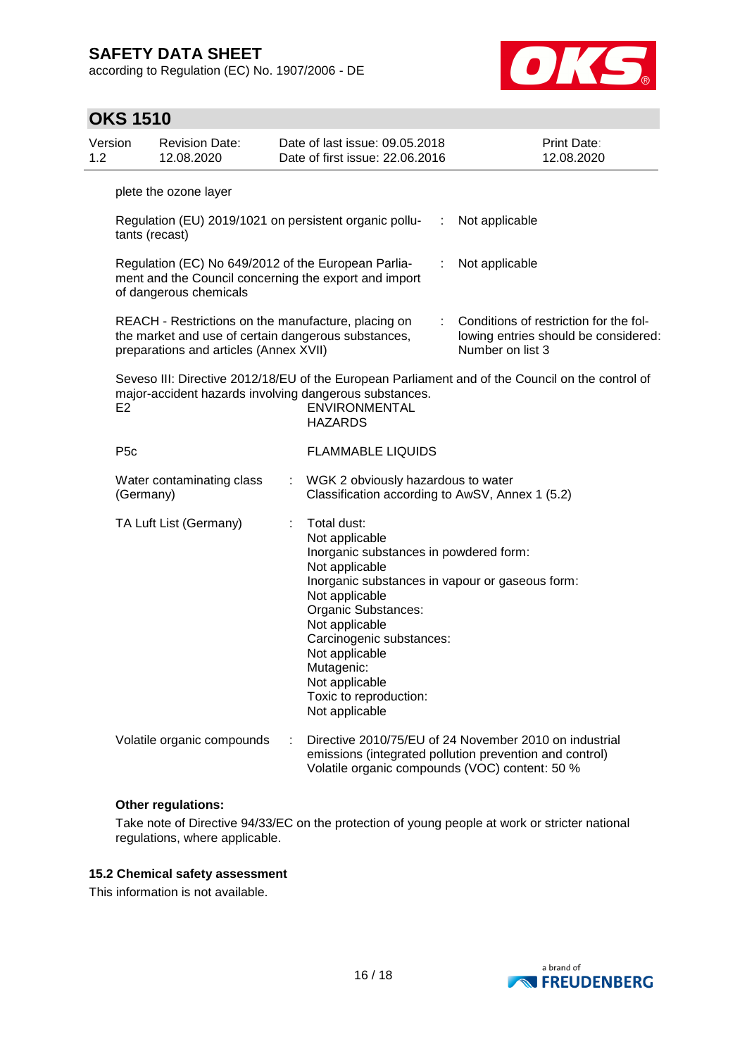according to Regulation (EC) No. 1907/2006 - DE



| <b>OKS 1510</b>  |                                                                                                                                                      |    |                                                                                                                                                                                                                                                                                                                                   |   |                                                                                                                   |
|------------------|------------------------------------------------------------------------------------------------------------------------------------------------------|----|-----------------------------------------------------------------------------------------------------------------------------------------------------------------------------------------------------------------------------------------------------------------------------------------------------------------------------------|---|-------------------------------------------------------------------------------------------------------------------|
| Version<br>1.2   | <b>Revision Date:</b><br>12.08.2020                                                                                                                  |    | Date of last issue: 09.05.2018<br>Date of first issue: 22.06.2016                                                                                                                                                                                                                                                                 |   | Print Date:<br>12.08.2020                                                                                         |
|                  | plete the ozone layer                                                                                                                                |    |                                                                                                                                                                                                                                                                                                                                   |   |                                                                                                                   |
|                  | tants (recast)                                                                                                                                       |    | Regulation (EU) 2019/1021 on persistent organic pollu-                                                                                                                                                                                                                                                                            | ÷ | Not applicable                                                                                                    |
|                  | Regulation (EC) No 649/2012 of the European Parlia-<br>of dangerous chemicals                                                                        |    | ment and the Council concerning the export and import                                                                                                                                                                                                                                                                             | ÷ | Not applicable                                                                                                    |
|                  | REACH - Restrictions on the manufacture, placing on<br>the market and use of certain dangerous substances,<br>preparations and articles (Annex XVII) |    |                                                                                                                                                                                                                                                                                                                                   |   | Conditions of restriction for the fol-<br>lowing entries should be considered:<br>Number on list 3                |
| E <sub>2</sub>   |                                                                                                                                                      |    | major-accident hazards involving dangerous substances.<br>ENVIRONMENTAL<br><b>HAZARDS</b>                                                                                                                                                                                                                                         |   | Seveso III: Directive 2012/18/EU of the European Parliament and of the Council on the control of                  |
| P <sub>5</sub> c |                                                                                                                                                      |    | <b>FLAMMABLE LIQUIDS</b>                                                                                                                                                                                                                                                                                                          |   |                                                                                                                   |
|                  | Water contaminating class<br>(Germany)                                                                                                               | ÷. | WGK 2 obviously hazardous to water<br>Classification according to AwSV, Annex 1 (5.2)                                                                                                                                                                                                                                             |   |                                                                                                                   |
|                  | TA Luft List (Germany)                                                                                                                               |    | Total dust:<br>Not applicable<br>Inorganic substances in powdered form:<br>Not applicable<br>Inorganic substances in vapour or gaseous form:<br>Not applicable<br>Organic Substances:<br>Not applicable<br>Carcinogenic substances:<br>Not applicable<br>Mutagenic:<br>Not applicable<br>Toxic to reproduction:<br>Not applicable |   |                                                                                                                   |
|                  | Volatile organic compounds                                                                                                                           |    | Volatile organic compounds (VOC) content: 50 %                                                                                                                                                                                                                                                                                    |   | Directive 2010/75/EU of 24 November 2010 on industrial<br>emissions (integrated pollution prevention and control) |

### **Other regulations:**

Take note of Directive 94/33/EC on the protection of young people at work or stricter national regulations, where applicable.

### **15.2 Chemical safety assessment**

This information is not available.

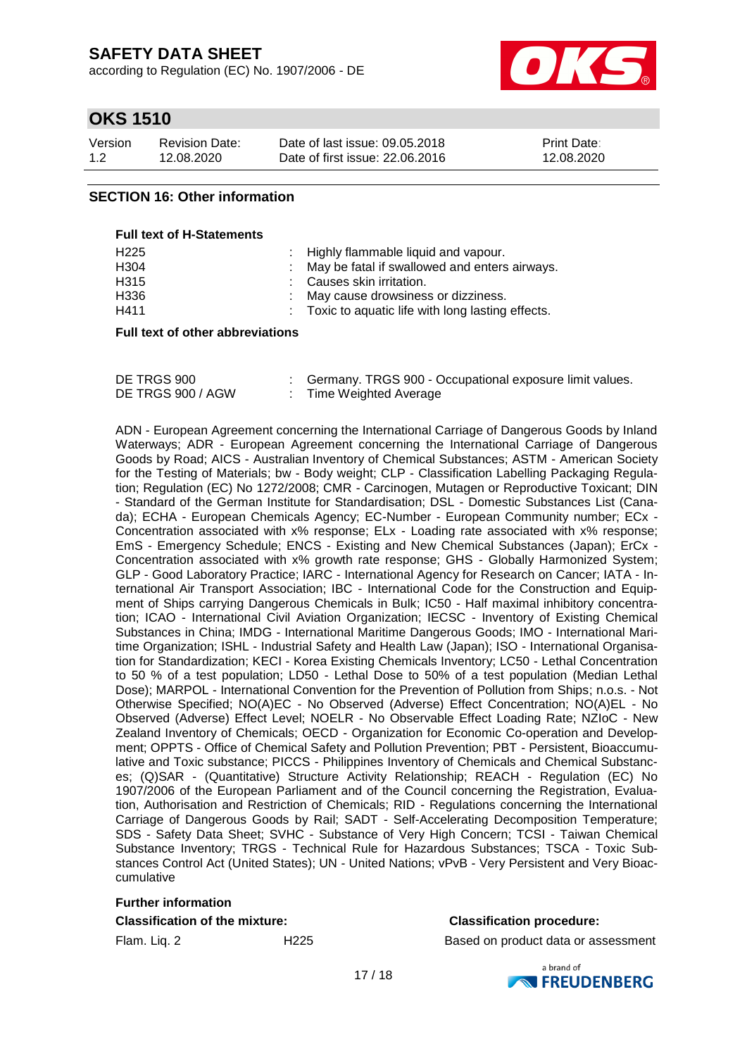according to Regulation (EC) No. 1907/2006 - DE



## **OKS 1510**

| Version | <b>Revision Date:</b> | Date of last issue: 09.05.2018  | <b>Print Date:</b> |
|---------|-----------------------|---------------------------------|--------------------|
| 1.2     | 12.08.2020            | Date of first issue: 22,06,2016 | 12.08.2020         |

### **SECTION 16: Other information**

#### **Full text of H-Statements**

| H225 | : Highly flammable liquid and vapour.                         |
|------|---------------------------------------------------------------|
| H304 | : May be fatal if swallowed and enters airways.               |
| H315 | : Causes skin irritation.                                     |
| H336 | : May cause drowsiness or dizziness.                          |
| H411 | $\therefore$ Toxic to aquatic life with long lasting effects. |
|      |                                                               |

#### **Full text of other abbreviations**

| DE TRGS 900       | Germany. TRGS 900 - Occupational exposure limit values. |
|-------------------|---------------------------------------------------------|
| DE TRGS 900 / AGW | : Time Weighted Average                                 |

ADN - European Agreement concerning the International Carriage of Dangerous Goods by Inland Waterways; ADR - European Agreement concerning the International Carriage of Dangerous Goods by Road; AICS - Australian Inventory of Chemical Substances; ASTM - American Society for the Testing of Materials; bw - Body weight; CLP - Classification Labelling Packaging Regulation; Regulation (EC) No 1272/2008; CMR - Carcinogen, Mutagen or Reproductive Toxicant; DIN - Standard of the German Institute for Standardisation; DSL - Domestic Substances List (Canada); ECHA - European Chemicals Agency; EC-Number - European Community number; ECx - Concentration associated with x% response; ELx - Loading rate associated with x% response; EmS - Emergency Schedule; ENCS - Existing and New Chemical Substances (Japan); ErCx - Concentration associated with x% growth rate response; GHS - Globally Harmonized System; GLP - Good Laboratory Practice; IARC - International Agency for Research on Cancer; IATA - International Air Transport Association; IBC - International Code for the Construction and Equipment of Ships carrying Dangerous Chemicals in Bulk; IC50 - Half maximal inhibitory concentration; ICAO - International Civil Aviation Organization; IECSC - Inventory of Existing Chemical Substances in China; IMDG - International Maritime Dangerous Goods; IMO - International Maritime Organization; ISHL - Industrial Safety and Health Law (Japan); ISO - International Organisation for Standardization; KECI - Korea Existing Chemicals Inventory; LC50 - Lethal Concentration to 50 % of a test population; LD50 - Lethal Dose to 50% of a test population (Median Lethal Dose); MARPOL - International Convention for the Prevention of Pollution from Ships; n.o.s. - Not Otherwise Specified; NO(A)EC - No Observed (Adverse) Effect Concentration; NO(A)EL - No Observed (Adverse) Effect Level; NOELR - No Observable Effect Loading Rate; NZIoC - New Zealand Inventory of Chemicals; OECD - Organization for Economic Co-operation and Development; OPPTS - Office of Chemical Safety and Pollution Prevention; PBT - Persistent, Bioaccumulative and Toxic substance; PICCS - Philippines Inventory of Chemicals and Chemical Substances; (Q)SAR - (Quantitative) Structure Activity Relationship; REACH - Regulation (EC) No 1907/2006 of the European Parliament and of the Council concerning the Registration, Evaluation, Authorisation and Restriction of Chemicals; RID - Regulations concerning the International Carriage of Dangerous Goods by Rail; SADT - Self-Accelerating Decomposition Temperature; SDS - Safety Data Sheet; SVHC - Substance of Very High Concern; TCSI - Taiwan Chemical Substance Inventory; TRGS - Technical Rule for Hazardous Substances; TSCA - Toxic Substances Control Act (United States); UN - United Nations; vPvB - Very Persistent and Very Bioaccumulative

# **Further information**

### **Classification of the mixture: Classification procedure:**

Flam. Liq. 2 H225 Based on product data or assessment